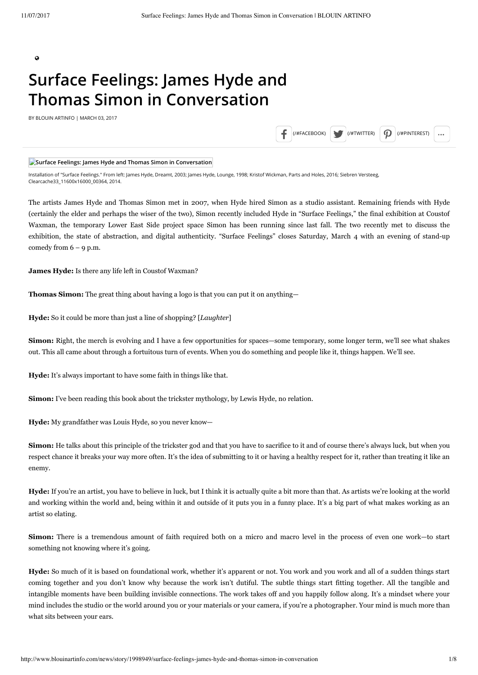$\mathbf{Q}$ 

# **Surface Feelings: James Hyde and Thomas Simon in Conversation**

BY BLOUIN ARTINFO | MARCH 03, 2017

 $($ /#FACEBOOK)  $\bigcup$   $($ /#TWITTER)  $\bigcap$   $($ /#PINTEREST)

### **Surface Feelings: James Hyde and Thomas Simon in Conversation**

Installation of "Surface Feelings." From left: James Hyde, Dreamt, 2003; James Hyde, Lounge, 1998; Kristof Wickman, Parts and Holes, 2016; Siebren Versteeg, Clearcache33\_11600x16000\_00364, 2014.

The artists James Hyde and Thomas Simon met in 2007, when Hyde hired Simon as a studio assistant. Remaining friends with Hyde (certainly the elder and perhaps the wiser of the two), Simon recently included Hyde in "Surface Feelings," the final exhibition at Coustof Waxman, the temporary Lower East Side project space Simon has been running since last fall. The two recently met to discuss the exhibition, the state of abstraction, and digital authenticity. "Surface Feelings" closes Saturday, March 4 with an evening of stand-up comedy from  $6 - 9$  p.m.

**James Hyde:** Is there any life left in Coustof Waxman?

**Thomas Simon:** The great thing about having a logo is that you can put it on anything—

**Hyde:** So it could be more than just a line of shopping? [*Laughter*]

**Simon:** Right, the merch is evolving and I have a few opportunities for spaces—some temporary, some longer term, we'll see what shakes out. This all came about through a fortuitous turn of events. When you do something and people like it, things happen. We'll see.

**Hyde:** It's always important to have some faith in things like that.

**Simon:** I've been reading this book about the trickster mythology, by Lewis Hyde, no relation.

**Hyde:** My grandfather was Louis Hyde, so you never know—

**Simon:** He talks about this principle of the trickster god and that you have to sacrifice to it and of course there's always luck, but when you respect chance it breaks your way more often. It's the idea of submitting to it or having a healthy respect for it, rather than treating it like an enemy.

**Hyde:** If you're an artist, you have to believe in luck, but I think it is actually quite a bit more than that. As artists we're looking at the world and working within the world and, being within it and outside of it puts you in a funny place. It's a big part of what makes working as an artist so elating.

**Simon:** There is a tremendous amount of faith required both on a micro and macro level in the process of even one work—to start something not knowing where it's going.

**Hyde:** So much of it is based on foundational work, whether it's apparent or not. You work and you work and all of a sudden things start coming together and you don't know why because the work isn't dutiful. The subtle things start fitting together. All the tangible and intangible moments have been building invisible connections. The work takes off and you happily follow along. It's a mindset where your mind includes the studio or the world around you or your materials or your camera, if you're a photographer. Your mind is much more than what sits between your ears.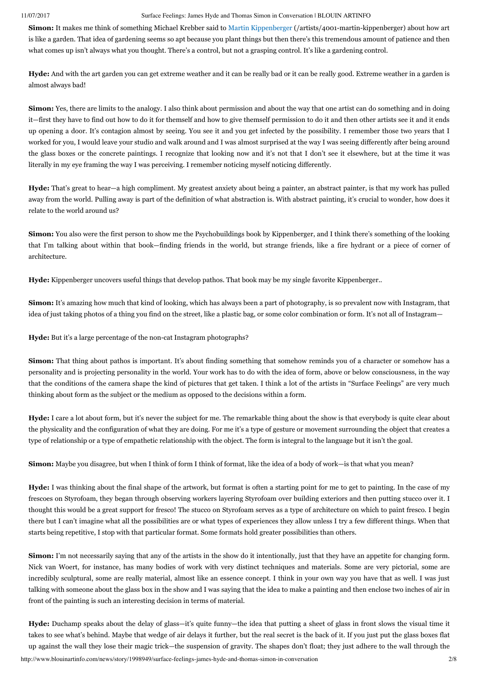**Simon:** It makes me think of something Michael Krebber said to [Martin Kippenberger \(/artists/4001-martin-kippenberger\)](http://www.blouinartinfo.com/artists/4001-martin-kippenberger) about how art is like a garden. That idea of gardening seems so apt because you plant things but then there's this tremendous amount of patience and then what comes up isn't always what you thought. There's a control, but not a grasping control. It's like a gardening control.

**Hyde:** And with the art garden you can get extreme weather and it can be really bad or it can be really good. Extreme weather in a garden is almost always bad!

**Simon:** Yes, there are limits to the analogy. I also think about permission and about the way that one artist can do something and in doing it—first they have to find out how to do it for themself and how to give themself permission to do it and then other artists see it and it ends up opening a door. It's contagion almost by seeing. You see it and you get infected by the possibility. I remember those two years that I worked for you, I would leave your studio and walk around and I was almost surprised at the way I was seeing differently after being around the glass boxes or the concrete paintings. I recognize that looking now and it's not that I don't see it elsewhere, but at the time it was literally in my eye framing the way I was perceiving. I remember noticing myself noticing differently.

**Hyde:** That's great to hear—a high compliment. My greatest anxiety about being a painter, an abstract painter, is that my work has pulled away from the world. Pulling away is part of the definition of what abstraction is. With abstract painting, it's crucial to wonder, how does it relate to the world around us?

**Simon:** You also were the first person to show me the Psychobuildings book by Kippenberger, and I think there's something of the looking that I'm talking about within that book—finding friends in the world, but strange friends, like a fire hydrant or a piece of corner of architecture.

**Hyde:** Kippenberger uncovers useful things that develop pathos. That book may be my single favorite Kippenberger..

**Simon:** It's amazing how much that kind of looking, which has always been a part of photography, is so prevalent now with Instagram, that idea of just taking photos of a thing you find on the street, like a plastic bag, or some color combination or form. It's not all of Instagram—

**Hyde:** But it's a large percentage of the non-cat Instagram photographs?

**Simon:** That thing about pathos is important. It's about finding something that somehow reminds you of a character or somehow has a personality and is projecting personality in the world. Your work has to do with the idea of form, above or below consciousness, in the way that the conditions of the camera shape the kind of pictures that get taken. I think a lot of the artists in "Surface Feelings" are very much thinking about form as the subject or the medium as opposed to the decisions within a form.

**Hyde:** I care a lot about form, but it's never the subject for me. The remarkable thing about the show is that everybody is quite clear about the physicality and the configuration of what they are doing. For me it's a type of gesture or movement surrounding the object that creates a type of relationship or a type of empathetic relationship with the object. The form is integral to the language but it isn't the goal.

**Simon:** Maybe you disagree, but when I think of form I think of format, like the idea of a body of work—is that what you mean?

**Hyde:** I was thinking about the final shape of the artwork, but format is often a starting point for me to get to painting. In the case of my frescoes on Styrofoam, they began through observing workers layering Styrofoam over building exteriors and then putting stucco over it. I thought this would be a great support for fresco! The stucco on Styrofoam serves as a type of architecture on which to paint fresco. I begin there but I can't imagine what all the possibilities are or what types of experiences they allow unless I try a few different things. When that starts being repetitive, I stop with that particular format. Some formats hold greater possibilities than others.

**Simon:** I'm not necessarily saying that any of the artists in the show do it intentionally, just that they have an appetite for changing form. Nick van Woert, for instance, has many bodies of work with very distinct techniques and materials. Some are very pictorial, some are incredibly sculptural, some are really material, almost like an essence concept. I think in your own way you have that as well. I was just talking with someone about the glass box in the show and I was saying that the idea to make a painting and then enclose two inches of air in front of the painting is such an interesting decision in terms of material.

http://www.blouinartinfo.com/news/story/1998949/surface-feelings-james-hyde-and-thomas-simon-in-conversation 2/8 **Hyde:** Duchamp speaks about the delay of glass—it's quite funny—the idea that putting a sheet of glass in front slows the visual time it takes to see what's behind. Maybe that wedge of air delays it further, but the real secret is the back of it. If you just put the glass boxes flat up against the wall they lose their magic trick—the suspension of gravity. The shapes don't float; they just adhere to the wall through the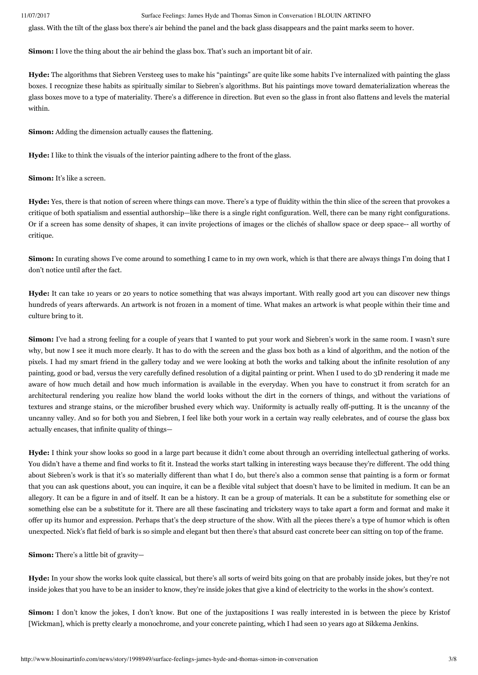glass. With the tilt of the glass box there's air behind the panel and the back glass disappears and the paint marks seem to hover.

**Simon:** I love the thing about the air behind the glass box. That's such an important bit of air.

**Hyde:** The algorithms that Siebren Versteeg uses to make his "paintings" are quite like some habits I've internalized with painting the glass boxes. I recognize these habits as spiritually similar to Siebren's algorithms. But his paintings move toward dematerialization whereas the glass boxes move to a type of materiality. There's a difference in direction. But even so the glass in front also flattens and levels the material within.

**Simon:** Adding the dimension actually causes the flattening.

**Hyde:** I like to think the visuals of the interior painting adhere to the front of the glass.

**Simon:** It's like a screen.

**Hyde:** Yes, there is that notion of screen where things can move. There's a type of fluidity within the thin slice of the screen that provokes a critique of both spatialism and essential authorship—like there is a single right configuration. Well, there can be many right configurations. Or if a screen has some density of shapes, it can invite projections of images or the clichés of shallow space or deep space-- all worthy of critique.

**Simon:** In curating shows I've come around to something I came to in my own work, which is that there are always things I'm doing that I don't notice until after the fact.

**Hyde:** It can take 10 years or 20 years to notice something that was always important. With really good art you can discover new things hundreds of years afterwards. An artwork is not frozen in a moment of time. What makes an artwork is what people within their time and culture bring to it.

Simon: I've had a strong feeling for a couple of years that I wanted to put your work and Siebren's work in the same room. I wasn't sure why, but now I see it much more clearly. It has to do with the screen and the glass box both as a kind of algorithm, and the notion of the pixels. I had my smart friend in the gallery today and we were looking at both the works and talking about the infinite resolution of any painting, good or bad, versus the very carefully defined resolution of a digital painting or print. When I used to do 3D rendering it made me aware of how much detail and how much information is available in the everyday. When you have to construct it from scratch for an architectural rendering you realize how bland the world looks without the dirt in the corners of things, and without the variations of textures and strange stains, or the microfiber brushed every which way. Uniformity is actually really off-putting. It is the uncanny of the uncanny valley. And so for both you and Siebren, I feel like both your work in a certain way really celebrates, and of course the glass box actually encases, that infinite quality of things—

**Hyde:** I think your show looks so good in a large part because it didn't come about through an overriding intellectual gathering of works. You didn't have a theme and find works to fit it. Instead the works start talking in interesting ways because they're different. The odd thing about Siebren's work is that it's so materially different than what I do, but there's also a common sense that painting is a form or format that you can ask questions about, you can inquire, it can be a flexible vital subject that doesn't have to be limited in medium. It can be an allegory. It can be a figure in and of itself. It can be a history. It can be a group of materials. It can be a substitute for something else or something else can be a substitute for it. There are all these fascinating and trickstery ways to take apart a form and format and make it offer up its humor and expression. Perhaps that's the deep structure of the show. With all the pieces there's a type of humor which is often unexpected. Nick's flat field of bark is so simple and elegant but then there's that absurd cast concrete beer can sitting on top of the frame.

**Simon:** There's a little bit of gravity—

**Hyde:** In your show the works look quite classical, but there's all sorts of weird bits going on that are probably inside jokes, but they're not inside jokes that you have to be an insider to know, they're inside jokes that give a kind of electricity to the works in the show's context.

**Simon:** I don't know the jokes, I don't know. But one of the juxtapositions I was really interested in is between the piece by Kristof [Wickman], which is pretty clearly a monochrome, and your concrete painting, which I had seen 10 years ago at Sikkema Jenkins.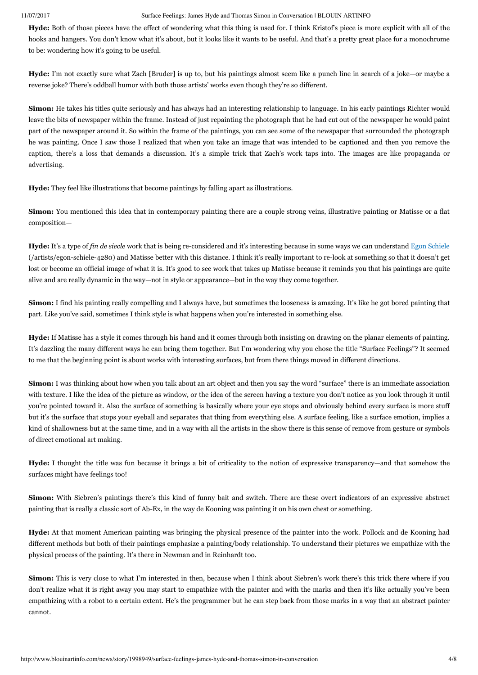Hyde: Both of those pieces have the effect of wondering what this thing is used for. I think Kristof's piece is more explicit with all of the hooks and hangers. You don't know what it's about, but it looks like it wants to be useful. And that's a pretty great place for a monochrome to be: wondering how it's going to be useful.

**Hyde:** I'm not exactly sure what Zach [Bruder] is up to, but his paintings almost seem like a punch line in search of a joke—or maybe a reverse joke? There's oddball humor with both those artists' works even though they're so different.

**Simon:** He takes his titles quite seriously and has always had an interesting relationship to language. In his early paintings Richter would leave the bits of newspaper within the frame. Instead of just repainting the photograph that he had cut out of the newspaper he would paint part of the newspaper around it. So within the frame of the paintings, you can see some of the newspaper that surrounded the photograph he was painting. Once I saw those I realized that when you take an image that was intended to be captioned and then you remove the caption, there's a loss that demands a discussion. It's a simple trick that Zach's work taps into. The images are like propaganda or advertising.

**Hyde:** They feel like illustrations that become paintings by falling apart as illustrations.

**Simon:** You mentioned this idea that in contemporary painting there are a couple strong veins, illustrative painting or Matisse or a flat composition—

**Hyde:** It's a type of *fin de siecle* [work that is being re-considered and it's interesting because in some ways we can understand Egon Schiele](http://www.blouinartinfo.com/artists/egon-schiele-4280) (/artists/egon-schiele-4280) and Matisse better with this distance. I think it's really important to re-look at something so that it doesn't get lost or become an official image of what it is. It's good to see work that takes up Matisse because it reminds you that his paintings are quite alive and are really dynamic in the way—not in style or appearance—but in the way they come together.

**Simon:** I find his painting really compelling and I always have, but sometimes the looseness is amazing. It's like he got bored painting that part. Like you've said, sometimes I think style is what happens when you're interested in something else.

**Hyde:** If Matisse has a style it comes through his hand and it comes through both insisting on drawing on the planar elements of painting. It's dazzling the many different ways he can bring them together. But I'm wondering why you chose the title "Surface Feelings"? It seemed to me that the beginning point is about works with interesting surfaces, but from there things moved in different directions.

**Simon:** I was thinking about how when you talk about an art object and then you say the word "surface" there is an immediate association with texture. I like the idea of the picture as window, or the idea of the screen having a texture you don't notice as you look through it until you're pointed toward it. Also the surface of something is basically where your eye stops and obviously behind every surface is more stuff but it's the surface that stops your eyeball and separates that thing from everything else. A surface feeling, like a surface emotion, implies a kind of shallowness but at the same time, and in a way with all the artists in the show there is this sense of remove from gesture or symbols of direct emotional art making.

**Hyde:** I thought the title was fun because it brings a bit of criticality to the notion of expressive transparency—and that somehow the surfaces might have feelings too!

**Simon:** With Siebren's paintings there's this kind of funny bait and switch. There are these overt indicators of an expressive abstract painting that is really a classic sort of Ab-Ex, in the way de Kooning was painting it on his own chest or something.

**Hyde:** At that moment American painting was bringing the physical presence of the painter into the work. Pollock and de Kooning had different methods but both of their paintings emphasize a painting/body relationship. To understand their pictures we empathize with the physical process of the painting. It's there in Newman and in Reinhardt too.

**Simon:** This is very close to what I'm interested in then, because when I think about Siebren's work there's this trick there where if you don't realize what it is right away you may start to empathize with the painter and with the marks and then it's like actually you've been empathizing with a robot to a certain extent. He's the programmer but he can step back from those marks in a way that an abstract painter cannot.